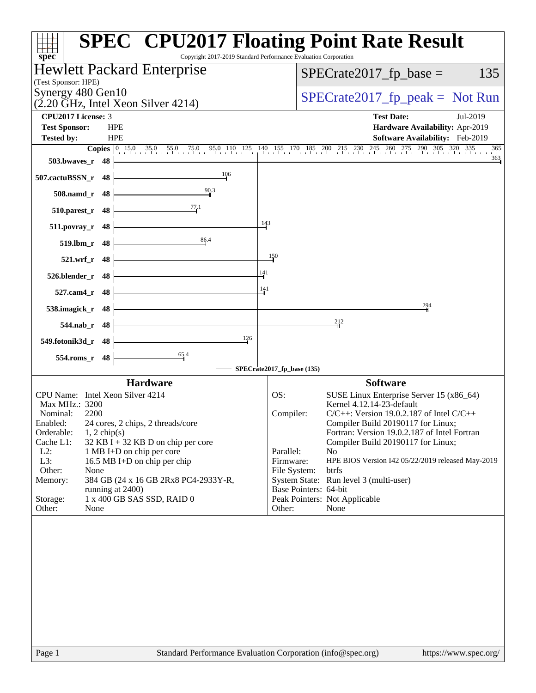| spec <sup>®</sup>                                                                                                   | <b>SPEC<sup>®</sup> CPU2017 Floating Point Rate Result</b><br>Copyright 2017-2019 Standard Performance Evaluation Corporation |
|---------------------------------------------------------------------------------------------------------------------|-------------------------------------------------------------------------------------------------------------------------------|
| Hewlett Packard Enterprise                                                                                          | $SPECrate2017_fp\_base =$<br>135                                                                                              |
| (Test Sponsor: HPE)<br>Synergy 480 Gen10                                                                            |                                                                                                                               |
| $(2.20 \text{ GHz}, \text{Intel Xeon Silver } 4214)$                                                                | $SPECTate2017_fp\_peak = Not Run$                                                                                             |
| CPU2017 License: 3                                                                                                  | <b>Test Date:</b><br>Jul-2019                                                                                                 |
| <b>Test Sponsor:</b><br><b>HPE</b><br><b>HPE</b>                                                                    | Hardware Availability: Apr-2019                                                                                               |
| <b>Tested by:</b><br><b>Copies</b> $\begin{bmatrix} 0 & 15.0 & 35.0 & 55.0 & 75.0 & 95.0 & 110 & 125 \end{bmatrix}$ | Software Availability: Feb-2019<br>140 155 170 185 200 215 230 245 260 275 290 305 320 335<br>365                             |
| 503.bwaves_r 48                                                                                                     | 363                                                                                                                           |
| 106<br>507.cactuBSSN_r 48                                                                                           |                                                                                                                               |
| 90.3<br>508.namd_r 48                                                                                               |                                                                                                                               |
| 77.1<br>510.parest_r 48                                                                                             |                                                                                                                               |
| $511. povray_r 48$                                                                                                  | 143                                                                                                                           |
| 86.4<br>519.lbm_r 48                                                                                                |                                                                                                                               |
| 521.wrf r 48                                                                                                        | 150                                                                                                                           |
| 526.blender_r 48                                                                                                    | $\frac{1141}{7}$                                                                                                              |
| 527.cam4_r 48                                                                                                       | 141                                                                                                                           |
| 538.imagick_r 48                                                                                                    | 294                                                                                                                           |
| 544.nab_r 48                                                                                                        | 212                                                                                                                           |
| 126<br>549.fotonik3d_r 48                                                                                           |                                                                                                                               |
| $\frac{65.4}{4}$<br>554.roms_r 48                                                                                   |                                                                                                                               |
|                                                                                                                     | SPECrate2017_fp_base (135)                                                                                                    |
| <b>Hardware</b><br>CPU Name: Intel Xeon Silver 4214                                                                 | <b>Software</b>                                                                                                               |
| Max MHz.: 3200                                                                                                      | SUSE Linux Enterprise Server 15 (x86_64)<br>OS:<br>Kernel 4.12.14-23-default                                                  |
| Nominal:<br>2200                                                                                                    | $C/C++$ : Version 19.0.2.187 of Intel $C/C++$<br>Compiler:                                                                    |
| 24 cores, 2 chips, 2 threads/core<br>Enabled:                                                                       | Compiler Build 20190117 for Linux;                                                                                            |
| Orderable:<br>$1, 2$ chip(s)                                                                                        | Fortran: Version 19.0.2.187 of Intel Fortran                                                                                  |
| Cache L1:<br>32 KB I + 32 KB D on chip per core                                                                     | Compiler Build 20190117 for Linux;                                                                                            |
| $L2$ :<br>1 MB I+D on chip per core                                                                                 | Parallel:<br>N <sub>o</sub>                                                                                                   |
| L3:<br>16.5 MB I+D on chip per chip<br>Other:                                                                       | HPE BIOS Version I42 05/22/2019 released May-2019<br>Firmware:<br>btrfs                                                       |
| None<br>Memory:<br>384 GB (24 x 16 GB 2Rx8 PC4-2933Y-R,                                                             | File System:<br>System State: Run level 3 (multi-user)                                                                        |
| running at 2400)                                                                                                    | Base Pointers: 64-bit                                                                                                         |
| 1 x 400 GB SAS SSD, RAID 0<br>Storage:                                                                              | Peak Pointers: Not Applicable                                                                                                 |
| Other:<br>None                                                                                                      | Other:<br>None                                                                                                                |
|                                                                                                                     |                                                                                                                               |
| Page 1                                                                                                              | Standard Performance Evaluation Corporation (info@spec.org)<br>https://www.spec.org/                                          |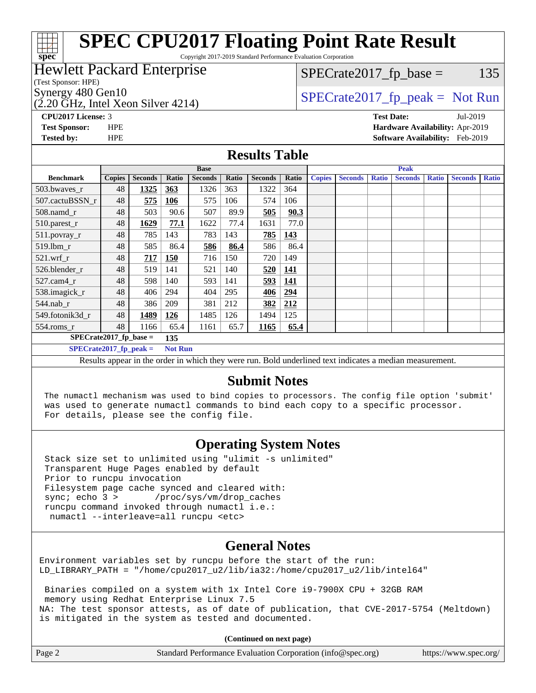# **[spec](http://www.spec.org/)**

# **[SPEC CPU2017 Floating Point Rate Result](http://www.spec.org/auto/cpu2017/Docs/result-fields.html#SPECCPU2017FloatingPointRateResult)**

Copyright 2017-2019 Standard Performance Evaluation Corporation

### Hewlett Packard Enterprise

(Test Sponsor: HPE)

(2.20 GHz, Intel Xeon Silver 4214)

 $SPECTate2017<sub>fr</sub> base = 135$ 

#### Synergy 480 Gen10  $SPECrate2017$  fp\_peak = Not Run

**[CPU2017 License:](http://www.spec.org/auto/cpu2017/Docs/result-fields.html#CPU2017License)** 3 **[Test Date:](http://www.spec.org/auto/cpu2017/Docs/result-fields.html#TestDate)** Jul-2019 **[Test Sponsor:](http://www.spec.org/auto/cpu2017/Docs/result-fields.html#TestSponsor)** HPE **[Hardware Availability:](http://www.spec.org/auto/cpu2017/Docs/result-fields.html#HardwareAvailability)** Apr-2019 **[Tested by:](http://www.spec.org/auto/cpu2017/Docs/result-fields.html#Testedby)** HPE **[Software Availability:](http://www.spec.org/auto/cpu2017/Docs/result-fields.html#SoftwareAvailability)** Feb-2019

#### **[Results Table](http://www.spec.org/auto/cpu2017/Docs/result-fields.html#ResultsTable)**

| <b>Base</b>                                                                                                                                                                       |               |                |            | <b>Peak</b>    |       |                |       |               |                |              |                |              |                |              |
|-----------------------------------------------------------------------------------------------------------------------------------------------------------------------------------|---------------|----------------|------------|----------------|-------|----------------|-------|---------------|----------------|--------------|----------------|--------------|----------------|--------------|
| <b>Benchmark</b>                                                                                                                                                                  | <b>Copies</b> | <b>Seconds</b> | Ratio      | <b>Seconds</b> | Ratio | <b>Seconds</b> | Ratio | <b>Copies</b> | <b>Seconds</b> | <b>Ratio</b> | <b>Seconds</b> | <b>Ratio</b> | <b>Seconds</b> | <b>Ratio</b> |
| 503.bwayes r                                                                                                                                                                      | 48            | 1325           | 363        | 1326           | 363   | 1322           | 364   |               |                |              |                |              |                |              |
| 507.cactuBSSN r                                                                                                                                                                   | 48            | 575            | 106        | 575            | 106   | 574            | 106   |               |                |              |                |              |                |              |
| $508$ .namd $r$                                                                                                                                                                   | 48            | 503            | 90.6       | 507            | 89.9  | 505            | 90.3  |               |                |              |                |              |                |              |
| 510.parest_r                                                                                                                                                                      | 48            | 1629           | 77.1       | 1622           | 77.4  | 1631           | 77.0  |               |                |              |                |              |                |              |
| 511.povray_r                                                                                                                                                                      | 48            | 785            | 143        | 783            | 143   | 785            | 143   |               |                |              |                |              |                |              |
| 519.lbm r                                                                                                                                                                         | 48            | 585            | 86.4       | 586            | 86.4  | 586            | 86.4  |               |                |              |                |              |                |              |
| $521$ .wrf r                                                                                                                                                                      | 48            | 717            | <b>150</b> | 716            | 150   | 720            | 149   |               |                |              |                |              |                |              |
| 526.blender r                                                                                                                                                                     | 48            | 519            | 141        | 521            | 140   | 520            | 141   |               |                |              |                |              |                |              |
| $527$ .cam $4r$                                                                                                                                                                   | 48            | 598            | 140        | 593            | 141   | 593            | 141   |               |                |              |                |              |                |              |
| 538.imagick_r                                                                                                                                                                     | 48            | 406            | 294        | 404            | 295   | 406            | 294   |               |                |              |                |              |                |              |
| $544$ .nab_r                                                                                                                                                                      | 48            | 386            | 209        | 381            | 212   | 382            | 212   |               |                |              |                |              |                |              |
| 549.fotonik3d r                                                                                                                                                                   | 48            | 1489           | 126        | 1485           | 126   | 1494           | 125   |               |                |              |                |              |                |              |
| 554.roms_r                                                                                                                                                                        | 48            | 1166           | 65.4       | 1161           | 65.7  | 1165           | 65.4  |               |                |              |                |              |                |              |
| $SPECrate2017_fp\_base =$<br>135                                                                                                                                                  |               |                |            |                |       |                |       |               |                |              |                |              |                |              |
| $SPECrate2017$ fp peak =<br><b>Not Run</b>                                                                                                                                        |               |                |            |                |       |                |       |               |                |              |                |              |                |              |
| $\mathbf{D}$ of discrete distribution of a set of the distribution of the contract contract of the $\mathbf{D}$<br>Described and controlled and control and the discussion of the |               |                |            |                |       |                |       |               |                |              |                |              |                |              |

Results appear in the [order in which they were run.](http://www.spec.org/auto/cpu2017/Docs/result-fields.html#RunOrder) Bold underlined text [indicates a median measurement.](http://www.spec.org/auto/cpu2017/Docs/result-fields.html#Median)

#### **[Submit Notes](http://www.spec.org/auto/cpu2017/Docs/result-fields.html#SubmitNotes)**

 The numactl mechanism was used to bind copies to processors. The config file option 'submit' was used to generate numactl commands to bind each copy to a specific processor. For details, please see the config file.

### **[Operating System Notes](http://www.spec.org/auto/cpu2017/Docs/result-fields.html#OperatingSystemNotes)**

 Stack size set to unlimited using "ulimit -s unlimited" Transparent Huge Pages enabled by default Prior to runcpu invocation Filesystem page cache synced and cleared with: sync; echo 3 > /proc/sys/vm/drop\_caches runcpu command invoked through numactl i.e.: numactl --interleave=all runcpu <etc>

### **[General Notes](http://www.spec.org/auto/cpu2017/Docs/result-fields.html#GeneralNotes)**

Environment variables set by runcpu before the start of the run: LD\_LIBRARY\_PATH = "/home/cpu2017\_u2/lib/ia32:/home/cpu2017\_u2/lib/intel64"

 Binaries compiled on a system with 1x Intel Core i9-7900X CPU + 32GB RAM memory using Redhat Enterprise Linux 7.5 NA: The test sponsor attests, as of date of publication, that CVE-2017-5754 (Meltdown) is mitigated in the system as tested and documented.

**(Continued on next page)**

| Page 2 | Standard Performance Evaluation Corporation (info@spec.org) | https://www.spec.org/ |
|--------|-------------------------------------------------------------|-----------------------|
|--------|-------------------------------------------------------------|-----------------------|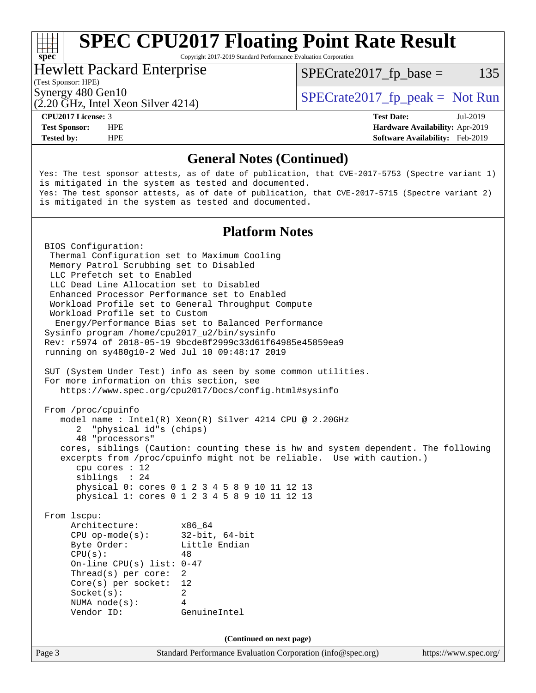# **[SPEC CPU2017 Floating Point Rate Result](http://www.spec.org/auto/cpu2017/Docs/result-fields.html#SPECCPU2017FloatingPointRateResult)**

Copyright 2017-2019 Standard Performance Evaluation Corporation

### Hewlett Packard Enterprise

 $SPECTate2017<sub>fr</sub> base = 135$ 

#### (Test Sponsor: HPE)

(2.20 GHz, Intel Xeon Silver 4214)

Synergy 480 Gen10  $SPECrate2017$  fp\_peak = Not Run

**[spec](http://www.spec.org/)**<sup>®</sup>

**[Tested by:](http://www.spec.org/auto/cpu2017/Docs/result-fields.html#Testedby)** HPE **[Software Availability:](http://www.spec.org/auto/cpu2017/Docs/result-fields.html#SoftwareAvailability)** Feb-2019

**[CPU2017 License:](http://www.spec.org/auto/cpu2017/Docs/result-fields.html#CPU2017License)** 3 **[Test Date:](http://www.spec.org/auto/cpu2017/Docs/result-fields.html#TestDate)** Jul-2019 **[Test Sponsor:](http://www.spec.org/auto/cpu2017/Docs/result-fields.html#TestSponsor)** HPE **[Hardware Availability:](http://www.spec.org/auto/cpu2017/Docs/result-fields.html#HardwareAvailability)** Apr-2019

#### **[General Notes \(Continued\)](http://www.spec.org/auto/cpu2017/Docs/result-fields.html#GeneralNotes)**

Yes: The test sponsor attests, as of date of publication, that CVE-2017-5753 (Spectre variant 1) is mitigated in the system as tested and documented. Yes: The test sponsor attests, as of date of publication, that CVE-2017-5715 (Spectre variant 2) is mitigated in the system as tested and documented.

#### **[Platform Notes](http://www.spec.org/auto/cpu2017/Docs/result-fields.html#PlatformNotes)**

Page 3 Standard Performance Evaluation Corporation [\(info@spec.org\)](mailto:info@spec.org) <https://www.spec.org/> BIOS Configuration: Thermal Configuration set to Maximum Cooling Memory Patrol Scrubbing set to Disabled LLC Prefetch set to Enabled LLC Dead Line Allocation set to Disabled Enhanced Processor Performance set to Enabled Workload Profile set to General Throughput Compute Workload Profile set to Custom Energy/Performance Bias set to Balanced Performance Sysinfo program /home/cpu2017\_u2/bin/sysinfo Rev: r5974 of 2018-05-19 9bcde8f2999c33d61f64985e45859ea9 running on sy480g10-2 Wed Jul 10 09:48:17 2019 SUT (System Under Test) info as seen by some common utilities. For more information on this section, see <https://www.spec.org/cpu2017/Docs/config.html#sysinfo> From /proc/cpuinfo model name : Intel(R) Xeon(R) Silver 4214 CPU @ 2.20GHz 2 "physical id"s (chips) 48 "processors" cores, siblings (Caution: counting these is hw and system dependent. The following excerpts from /proc/cpuinfo might not be reliable. Use with caution.) cpu cores : 12 siblings : 24 physical 0: cores 0 1 2 3 4 5 8 9 10 11 12 13 physical 1: cores 0 1 2 3 4 5 8 9 10 11 12 13 From lscpu: Architecture: x86\_64 CPU op-mode(s): 32-bit, 64-bit Byte Order: Little Endian  $CPU(s):$  48 On-line CPU(s) list: 0-47 Thread(s) per core: 2 Core(s) per socket: 12 Socket(s): 2 NUMA node(s): 4 Vendor ID: GenuineIntel **(Continued on next page)**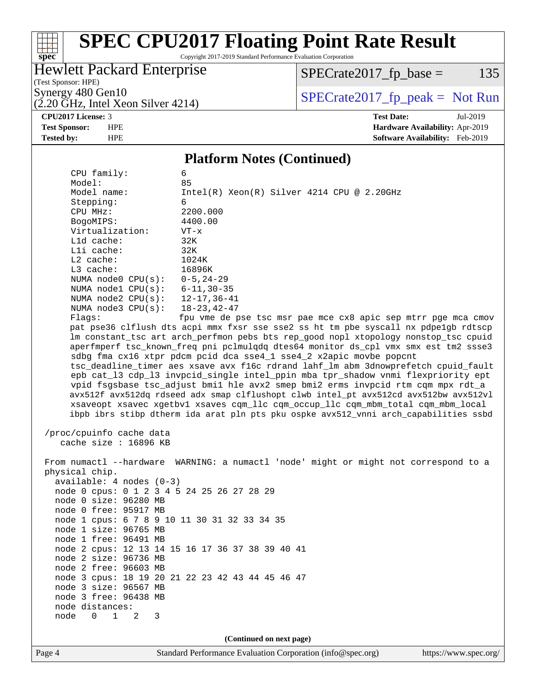#### $+\ +$ **[spec](http://www.spec.org/)**

# **[SPEC CPU2017 Floating Point Rate Result](http://www.spec.org/auto/cpu2017/Docs/result-fields.html#SPECCPU2017FloatingPointRateResult)**

Copyright 2017-2019 Standard Performance Evaluation Corporation

### Hewlett Packard Enterprise

 $(2.20 \text{ GHz}, \text{Intel Xeon Silver } 4214)$ 

 $SPECrate2017_fp\_base = 135$ 

(Test Sponsor: HPE)

Synergy 480 Gen10<br>  $\begin{array}{c|c}\n\text{SPECTate2017\_fp\_peak} = \text{Not Run} \\
\hline\n\text{SPECTate2017\_fp\_peak} = \text{Not Run}\n\end{array}$ 

**[CPU2017 License:](http://www.spec.org/auto/cpu2017/Docs/result-fields.html#CPU2017License)** 3 **[Test Date:](http://www.spec.org/auto/cpu2017/Docs/result-fields.html#TestDate)** Jul-2019 **[Test Sponsor:](http://www.spec.org/auto/cpu2017/Docs/result-fields.html#TestSponsor)** HPE **[Hardware Availability:](http://www.spec.org/auto/cpu2017/Docs/result-fields.html#HardwareAvailability)** Apr-2019 **[Tested by:](http://www.spec.org/auto/cpu2017/Docs/result-fields.html#Testedby)** HPE **[Software Availability:](http://www.spec.org/auto/cpu2017/Docs/result-fields.html#SoftwareAvailability)** Feb-2019

#### **[Platform Notes \(Continued\)](http://www.spec.org/auto/cpu2017/Docs/result-fields.html#PlatformNotes)**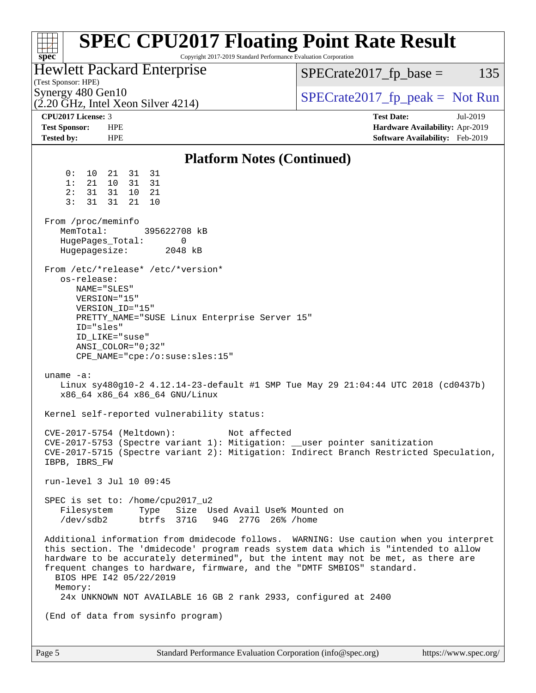| <b>SPEC CPU2017 Floating Point Rate Result</b><br>Copyright 2017-2019 Standard Performance Evaluation Corporation<br>spec <sup>®</sup>                                                                                                                                                                                                                                                                                                                  |                                                                                                     |  |  |  |
|---------------------------------------------------------------------------------------------------------------------------------------------------------------------------------------------------------------------------------------------------------------------------------------------------------------------------------------------------------------------------------------------------------------------------------------------------------|-----------------------------------------------------------------------------------------------------|--|--|--|
| <b>Hewlett Packard Enterprise</b><br>(Test Sponsor: HPE)                                                                                                                                                                                                                                                                                                                                                                                                | $SPECrate2017_fp\_base =$<br>135<br>$SPECrate2017fr peak = Not Run$                                 |  |  |  |
| Synergy 480 Gen10<br>$(2.20 \text{ GHz}, \text{Intel Xeon Silver } 4214)$                                                                                                                                                                                                                                                                                                                                                                               |                                                                                                     |  |  |  |
| CPU2017 License: 3<br><b>Test Sponsor:</b><br><b>HPE</b><br><b>Tested by:</b><br><b>HPE</b>                                                                                                                                                                                                                                                                                                                                                             | <b>Test Date:</b><br>Jul-2019<br>Hardware Availability: Apr-2019<br>Software Availability: Feb-2019 |  |  |  |
| <b>Platform Notes (Continued)</b>                                                                                                                                                                                                                                                                                                                                                                                                                       |                                                                                                     |  |  |  |
| 31 31<br>0 :<br>10<br>21<br>21<br>1:<br>10<br>31 31<br>31<br>10<br>2:<br>31<br>21<br>3:<br>31<br>31<br>21<br>10                                                                                                                                                                                                                                                                                                                                         |                                                                                                     |  |  |  |
| From /proc/meminfo<br>MemTotal:<br>395622708 kB<br>0<br>HugePages_Total:<br>Hugepagesize:<br>2048 kB                                                                                                                                                                                                                                                                                                                                                    |                                                                                                     |  |  |  |
| From /etc/*release* /etc/*version*<br>os-release:<br>NAME="SLES"<br>VERSION="15"<br>VERSION_ID="15"<br>PRETTY_NAME="SUSE Linux Enterprise Server 15"<br>ID="sles"<br>ID LIKE="suse"<br>ANSI COLOR="0;32"<br>$CPE\_NAME='cpe://o:suse: sles:15"$                                                                                                                                                                                                         |                                                                                                     |  |  |  |
| uname $-a$ :<br>Linux sy480g10-2 4.12.14-23-default #1 SMP Tue May 29 21:04:44 UTC 2018 (cd0437b)<br>x86_64 x86_64 x86_64 GNU/Linux                                                                                                                                                                                                                                                                                                                     |                                                                                                     |  |  |  |
| Kernel self-reported vulnerability status:                                                                                                                                                                                                                                                                                                                                                                                                              |                                                                                                     |  |  |  |
| CVE-2017-5754 (Meltdown): Not affected<br>CVE-2017-5753 (Spectre variant 1): Mitigation: __user pointer sanitization<br>CVE-2017-5715 (Spectre variant 2): Mitigation: Indirect Branch Restricted Speculation,<br>IBPB, IBRS_FW                                                                                                                                                                                                                         |                                                                                                     |  |  |  |
| run-level 3 Jul 10 09:45                                                                                                                                                                                                                                                                                                                                                                                                                                |                                                                                                     |  |  |  |
| SPEC is set to: /home/cpu2017_u2<br>Filesystem<br>Type Size Used Avail Use% Mounted on<br>btrfs 371G 94G 277G 26% / home<br>/dev/sdb2                                                                                                                                                                                                                                                                                                                   |                                                                                                     |  |  |  |
| Additional information from dmidecode follows. WARNING: Use caution when you interpret<br>this section. The 'dmidecode' program reads system data which is "intended to allow<br>hardware to be accurately determined", but the intent may not be met, as there are<br>frequent changes to hardware, firmware, and the "DMTF SMBIOS" standard.<br>BIOS HPE 142 05/22/2019<br>Memory:<br>24x UNKNOWN NOT AVAILABLE 16 GB 2 rank 2933, configured at 2400 |                                                                                                     |  |  |  |
| (End of data from sysinfo program)                                                                                                                                                                                                                                                                                                                                                                                                                      |                                                                                                     |  |  |  |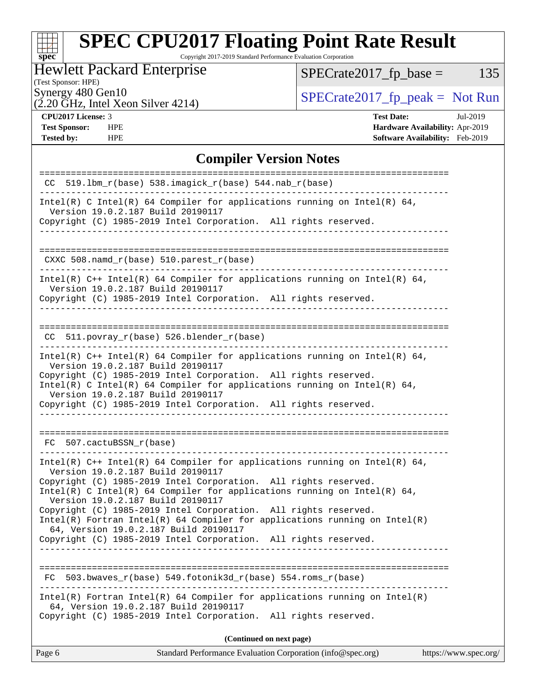# **[spec](http://www.spec.org/)**

# **[SPEC CPU2017 Floating Point Rate Result](http://www.spec.org/auto/cpu2017/Docs/result-fields.html#SPECCPU2017FloatingPointRateResult)**

Copyright 2017-2019 Standard Performance Evaluation Corporation

### Hewlett Packard Enterprise

 $SPECrate2017_fp\_base = 135$ 

## (Test Sponsor: HPE)

 $(2.20 \text{ GHz}, \text{Intel Xeon Silver } 4214)$ 

Synergy 480 Gen10<br>  $\begin{array}{c|c}\n\text{SPECTate2017\_fp\_peak} = \text{Not Run} \\
\hline\n\text{SPECTate2017\_fp\_peak} = \text{Not Run}\n\end{array}$ 

**[Tested by:](http://www.spec.org/auto/cpu2017/Docs/result-fields.html#Testedby)** HPE **[Software Availability:](http://www.spec.org/auto/cpu2017/Docs/result-fields.html#SoftwareAvailability)** Feb-2019

**[CPU2017 License:](http://www.spec.org/auto/cpu2017/Docs/result-fields.html#CPU2017License)** 3 **[Test Date:](http://www.spec.org/auto/cpu2017/Docs/result-fields.html#TestDate)** Jul-2019 **[Test Sponsor:](http://www.spec.org/auto/cpu2017/Docs/result-fields.html#TestSponsor)** HPE **[Hardware Availability:](http://www.spec.org/auto/cpu2017/Docs/result-fields.html#HardwareAvailability)** Apr-2019

#### **[Compiler Version Notes](http://www.spec.org/auto/cpu2017/Docs/result-fields.html#CompilerVersionNotes)**

| $CC$ 519.1bm_ $r$ (base) 538.imagick_ $r$ (base) 544.nab_ $r$ (base)                                                                                                                                                                                                                                                                                                                                                                                                                                                                                                 |  |  |
|----------------------------------------------------------------------------------------------------------------------------------------------------------------------------------------------------------------------------------------------------------------------------------------------------------------------------------------------------------------------------------------------------------------------------------------------------------------------------------------------------------------------------------------------------------------------|--|--|
| Intel(R) C Intel(R) 64 Compiler for applications running on Intel(R) 64,<br>Version 19.0.2.187 Build 20190117<br>Copyright (C) 1985-2019 Intel Corporation. All rights reserved.                                                                                                                                                                                                                                                                                                                                                                                     |  |  |
|                                                                                                                                                                                                                                                                                                                                                                                                                                                                                                                                                                      |  |  |
| CXXC 508.namd_r(base) 510.parest_r(base)                                                                                                                                                                                                                                                                                                                                                                                                                                                                                                                             |  |  |
| Intel(R) $C++$ Intel(R) 64 Compiler for applications running on Intel(R) 64,<br>Version 19.0.2.187 Build 20190117<br>Copyright (C) 1985-2019 Intel Corporation. All rights reserved.                                                                                                                                                                                                                                                                                                                                                                                 |  |  |
| $CC$ 511.povray $r(base)$ 526.blender $r(base)$                                                                                                                                                                                                                                                                                                                                                                                                                                                                                                                      |  |  |
| Intel(R) $C++$ Intel(R) 64 Compiler for applications running on Intel(R) 64,<br>Version 19.0.2.187 Build 20190117<br>Copyright (C) 1985-2019 Intel Corporation. All rights reserved.<br>Intel(R) C Intel(R) 64 Compiler for applications running on Intel(R) 64,<br>Version 19.0.2.187 Build 20190117<br>Copyright (C) 1985-2019 Intel Corporation. All rights reserved.<br>--------------------------------------                                                                                                                                                   |  |  |
| FC 507.cactuBSSN r(base)                                                                                                                                                                                                                                                                                                                                                                                                                                                                                                                                             |  |  |
| Intel(R) $C++$ Intel(R) 64 Compiler for applications running on Intel(R) 64,<br>Version 19.0.2.187 Build 20190117<br>Copyright (C) 1985-2019 Intel Corporation. All rights reserved.<br>Intel(R) C Intel(R) 64 Compiler for applications running on Intel(R) 64,<br>Version 19.0.2.187 Build 20190117<br>Copyright (C) 1985-2019 Intel Corporation. All rights reserved.<br>$Intel(R)$ Fortran Intel(R) 64 Compiler for applications running on Intel(R)<br>64, Version 19.0.2.187 Build 20190117<br>Copyright (C) 1985-2019 Intel Corporation. All rights reserved. |  |  |
| $503.bwaves_r(base) 549.fotonik3d_r(base) 554.roms_r(base)$<br>FC                                                                                                                                                                                                                                                                                                                                                                                                                                                                                                    |  |  |
| $Intel(R)$ Fortran Intel(R) 64 Compiler for applications running on Intel(R)<br>64, Version 19.0.2.187 Build 20190117<br>Copyright (C) 1985-2019 Intel Corporation. All rights reserved.                                                                                                                                                                                                                                                                                                                                                                             |  |  |
| (Continued on next page)                                                                                                                                                                                                                                                                                                                                                                                                                                                                                                                                             |  |  |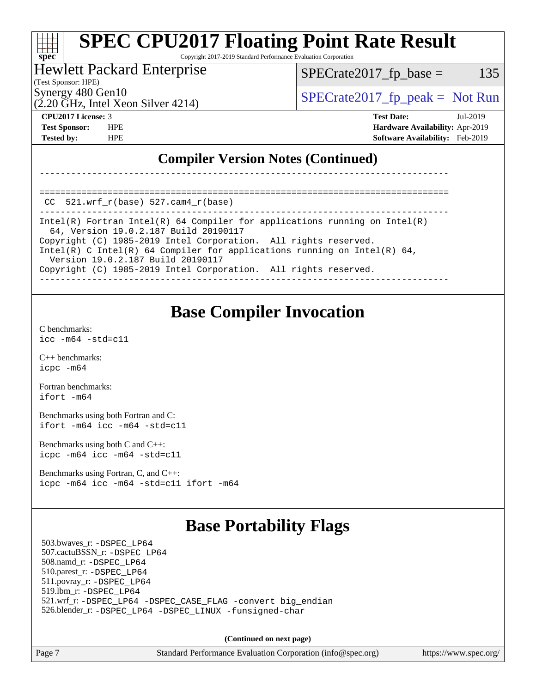# **[SPEC CPU2017 Floating Point Rate Result](http://www.spec.org/auto/cpu2017/Docs/result-fields.html#SPECCPU2017FloatingPointRateResult)**

Copyright 2017-2019 Standard Performance Evaluation Corporation

#### Hewlett Packard Enterprise

(Test Sponsor: HPE)

**[spec](http://www.spec.org/)**

a tim

Synergy 480 Gen10  $SPECrate2017$  fp\_peak = Not Run

 $SPECTate2017<sub>fr</sub> base = 135$ 

(2.20 GHz, Intel Xeon Silver 4214)

**[CPU2017 License:](http://www.spec.org/auto/cpu2017/Docs/result-fields.html#CPU2017License)** 3 **[Test Date:](http://www.spec.org/auto/cpu2017/Docs/result-fields.html#TestDate)** Jul-2019 **[Test Sponsor:](http://www.spec.org/auto/cpu2017/Docs/result-fields.html#TestSponsor)** HPE **[Hardware Availability:](http://www.spec.org/auto/cpu2017/Docs/result-fields.html#HardwareAvailability)** Apr-2019 **[Tested by:](http://www.spec.org/auto/cpu2017/Docs/result-fields.html#Testedby)** HPE **[Software Availability:](http://www.spec.org/auto/cpu2017/Docs/result-fields.html#SoftwareAvailability)** Feb-2019

### **[Compiler Version Notes \(Continued\)](http://www.spec.org/auto/cpu2017/Docs/result-fields.html#CompilerVersionNotes)**

==============================================================================  $CC$  521.wrf $r(base)$  527.cam $4$  $r(base)$ 

------------------------------------------------------------------------------ Intel(R) Fortran Intel(R) 64 Compiler for applications running on Intel(R) 64, Version 19.0.2.187 Build 20190117 Copyright (C) 1985-2019 Intel Corporation. All rights reserved. Intel(R) C Intel(R) 64 Compiler for applications running on Intel(R) 64, Version 19.0.2.187 Build 20190117 Copyright (C) 1985-2019 Intel Corporation. All rights reserved. ------------------------------------------------------------------------------

------------------------------------------------------------------------------

## **[Base Compiler Invocation](http://www.spec.org/auto/cpu2017/Docs/result-fields.html#BaseCompilerInvocation)**

[C benchmarks](http://www.spec.org/auto/cpu2017/Docs/result-fields.html#Cbenchmarks): [icc -m64 -std=c11](http://www.spec.org/cpu2017/results/res2019q3/cpu2017-20190723-16328.flags.html#user_CCbase_intel_icc_64bit_c11_33ee0cdaae7deeeab2a9725423ba97205ce30f63b9926c2519791662299b76a0318f32ddfffdc46587804de3178b4f9328c46fa7c2b0cd779d7a61945c91cd35)

[C++ benchmarks:](http://www.spec.org/auto/cpu2017/Docs/result-fields.html#CXXbenchmarks) [icpc -m64](http://www.spec.org/cpu2017/results/res2019q3/cpu2017-20190723-16328.flags.html#user_CXXbase_intel_icpc_64bit_4ecb2543ae3f1412ef961e0650ca070fec7b7afdcd6ed48761b84423119d1bf6bdf5cad15b44d48e7256388bc77273b966e5eb805aefd121eb22e9299b2ec9d9)

[Fortran benchmarks](http://www.spec.org/auto/cpu2017/Docs/result-fields.html#Fortranbenchmarks): [ifort -m64](http://www.spec.org/cpu2017/results/res2019q3/cpu2017-20190723-16328.flags.html#user_FCbase_intel_ifort_64bit_24f2bb282fbaeffd6157abe4f878425411749daecae9a33200eee2bee2fe76f3b89351d69a8130dd5949958ce389cf37ff59a95e7a40d588e8d3a57e0c3fd751)

[Benchmarks using both Fortran and C](http://www.spec.org/auto/cpu2017/Docs/result-fields.html#BenchmarksusingbothFortranandC): [ifort -m64](http://www.spec.org/cpu2017/results/res2019q3/cpu2017-20190723-16328.flags.html#user_CC_FCbase_intel_ifort_64bit_24f2bb282fbaeffd6157abe4f878425411749daecae9a33200eee2bee2fe76f3b89351d69a8130dd5949958ce389cf37ff59a95e7a40d588e8d3a57e0c3fd751) [icc -m64 -std=c11](http://www.spec.org/cpu2017/results/res2019q3/cpu2017-20190723-16328.flags.html#user_CC_FCbase_intel_icc_64bit_c11_33ee0cdaae7deeeab2a9725423ba97205ce30f63b9926c2519791662299b76a0318f32ddfffdc46587804de3178b4f9328c46fa7c2b0cd779d7a61945c91cd35)

[Benchmarks using both C and C++](http://www.spec.org/auto/cpu2017/Docs/result-fields.html#BenchmarksusingbothCandCXX): [icpc -m64](http://www.spec.org/cpu2017/results/res2019q3/cpu2017-20190723-16328.flags.html#user_CC_CXXbase_intel_icpc_64bit_4ecb2543ae3f1412ef961e0650ca070fec7b7afdcd6ed48761b84423119d1bf6bdf5cad15b44d48e7256388bc77273b966e5eb805aefd121eb22e9299b2ec9d9) [icc -m64 -std=c11](http://www.spec.org/cpu2017/results/res2019q3/cpu2017-20190723-16328.flags.html#user_CC_CXXbase_intel_icc_64bit_c11_33ee0cdaae7deeeab2a9725423ba97205ce30f63b9926c2519791662299b76a0318f32ddfffdc46587804de3178b4f9328c46fa7c2b0cd779d7a61945c91cd35)

[Benchmarks using Fortran, C, and C++:](http://www.spec.org/auto/cpu2017/Docs/result-fields.html#BenchmarksusingFortranCandCXX) [icpc -m64](http://www.spec.org/cpu2017/results/res2019q3/cpu2017-20190723-16328.flags.html#user_CC_CXX_FCbase_intel_icpc_64bit_4ecb2543ae3f1412ef961e0650ca070fec7b7afdcd6ed48761b84423119d1bf6bdf5cad15b44d48e7256388bc77273b966e5eb805aefd121eb22e9299b2ec9d9) [icc -m64 -std=c11](http://www.spec.org/cpu2017/results/res2019q3/cpu2017-20190723-16328.flags.html#user_CC_CXX_FCbase_intel_icc_64bit_c11_33ee0cdaae7deeeab2a9725423ba97205ce30f63b9926c2519791662299b76a0318f32ddfffdc46587804de3178b4f9328c46fa7c2b0cd779d7a61945c91cd35) [ifort -m64](http://www.spec.org/cpu2017/results/res2019q3/cpu2017-20190723-16328.flags.html#user_CC_CXX_FCbase_intel_ifort_64bit_24f2bb282fbaeffd6157abe4f878425411749daecae9a33200eee2bee2fe76f3b89351d69a8130dd5949958ce389cf37ff59a95e7a40d588e8d3a57e0c3fd751)

## **[Base Portability Flags](http://www.spec.org/auto/cpu2017/Docs/result-fields.html#BasePortabilityFlags)**

 503.bwaves\_r: [-DSPEC\\_LP64](http://www.spec.org/cpu2017/results/res2019q3/cpu2017-20190723-16328.flags.html#suite_basePORTABILITY503_bwaves_r_DSPEC_LP64) 507.cactuBSSN\_r: [-DSPEC\\_LP64](http://www.spec.org/cpu2017/results/res2019q3/cpu2017-20190723-16328.flags.html#suite_basePORTABILITY507_cactuBSSN_r_DSPEC_LP64) 508.namd\_r: [-DSPEC\\_LP64](http://www.spec.org/cpu2017/results/res2019q3/cpu2017-20190723-16328.flags.html#suite_basePORTABILITY508_namd_r_DSPEC_LP64) 510.parest\_r: [-DSPEC\\_LP64](http://www.spec.org/cpu2017/results/res2019q3/cpu2017-20190723-16328.flags.html#suite_basePORTABILITY510_parest_r_DSPEC_LP64) 511.povray\_r: [-DSPEC\\_LP64](http://www.spec.org/cpu2017/results/res2019q3/cpu2017-20190723-16328.flags.html#suite_basePORTABILITY511_povray_r_DSPEC_LP64) 519.lbm\_r: [-DSPEC\\_LP64](http://www.spec.org/cpu2017/results/res2019q3/cpu2017-20190723-16328.flags.html#suite_basePORTABILITY519_lbm_r_DSPEC_LP64) 521.wrf\_r: [-DSPEC\\_LP64](http://www.spec.org/cpu2017/results/res2019q3/cpu2017-20190723-16328.flags.html#suite_basePORTABILITY521_wrf_r_DSPEC_LP64) [-DSPEC\\_CASE\\_FLAG](http://www.spec.org/cpu2017/results/res2019q3/cpu2017-20190723-16328.flags.html#b521.wrf_r_baseCPORTABILITY_DSPEC_CASE_FLAG) [-convert big\\_endian](http://www.spec.org/cpu2017/results/res2019q3/cpu2017-20190723-16328.flags.html#user_baseFPORTABILITY521_wrf_r_convert_big_endian_c3194028bc08c63ac5d04de18c48ce6d347e4e562e8892b8bdbdc0214820426deb8554edfa529a3fb25a586e65a3d812c835984020483e7e73212c4d31a38223) 526.blender\_r: [-DSPEC\\_LP64](http://www.spec.org/cpu2017/results/res2019q3/cpu2017-20190723-16328.flags.html#suite_basePORTABILITY526_blender_r_DSPEC_LP64) [-DSPEC\\_LINUX](http://www.spec.org/cpu2017/results/res2019q3/cpu2017-20190723-16328.flags.html#b526.blender_r_baseCPORTABILITY_DSPEC_LINUX) [-funsigned-char](http://www.spec.org/cpu2017/results/res2019q3/cpu2017-20190723-16328.flags.html#user_baseCPORTABILITY526_blender_r_force_uchar_40c60f00ab013830e2dd6774aeded3ff59883ba5a1fc5fc14077f794d777847726e2a5858cbc7672e36e1b067e7e5c1d9a74f7176df07886a243d7cc18edfe67)

**(Continued on next page)**

Page 7 Standard Performance Evaluation Corporation [\(info@spec.org\)](mailto:info@spec.org) <https://www.spec.org/>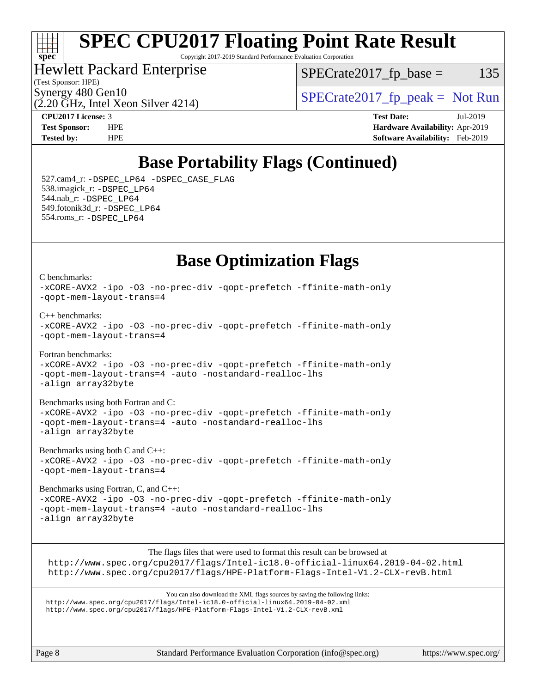

# **[SPEC CPU2017 Floating Point Rate Result](http://www.spec.org/auto/cpu2017/Docs/result-fields.html#SPECCPU2017FloatingPointRateResult)**

Copyright 2017-2019 Standard Performance Evaluation Corporation

### Hewlett Packard Enterprise

 $SPECTate2017<sub>fr</sub> base = 135$ 

(Test Sponsor: HPE)

(2.20 GHz, Intel Xeon Silver 4214)

Synergy 480 Gen10  $SPECrate2017$  fp\_peak = Not Run

**[CPU2017 License:](http://www.spec.org/auto/cpu2017/Docs/result-fields.html#CPU2017License)** 3 **[Test Date:](http://www.spec.org/auto/cpu2017/Docs/result-fields.html#TestDate)** Jul-2019 **[Test Sponsor:](http://www.spec.org/auto/cpu2017/Docs/result-fields.html#TestSponsor)** HPE **[Hardware Availability:](http://www.spec.org/auto/cpu2017/Docs/result-fields.html#HardwareAvailability)** Apr-2019 **[Tested by:](http://www.spec.org/auto/cpu2017/Docs/result-fields.html#Testedby)** HPE **[Software Availability:](http://www.spec.org/auto/cpu2017/Docs/result-fields.html#SoftwareAvailability)** Feb-2019

## **[Base Portability Flags \(Continued\)](http://www.spec.org/auto/cpu2017/Docs/result-fields.html#BasePortabilityFlags)**

 527.cam4\_r: [-DSPEC\\_LP64](http://www.spec.org/cpu2017/results/res2019q3/cpu2017-20190723-16328.flags.html#suite_basePORTABILITY527_cam4_r_DSPEC_LP64) [-DSPEC\\_CASE\\_FLAG](http://www.spec.org/cpu2017/results/res2019q3/cpu2017-20190723-16328.flags.html#b527.cam4_r_baseCPORTABILITY_DSPEC_CASE_FLAG) 538.imagick\_r: [-DSPEC\\_LP64](http://www.spec.org/cpu2017/results/res2019q3/cpu2017-20190723-16328.flags.html#suite_basePORTABILITY538_imagick_r_DSPEC_LP64) 544.nab\_r: [-DSPEC\\_LP64](http://www.spec.org/cpu2017/results/res2019q3/cpu2017-20190723-16328.flags.html#suite_basePORTABILITY544_nab_r_DSPEC_LP64) 549.fotonik3d\_r: [-DSPEC\\_LP64](http://www.spec.org/cpu2017/results/res2019q3/cpu2017-20190723-16328.flags.html#suite_basePORTABILITY549_fotonik3d_r_DSPEC_LP64) 554.roms\_r: [-DSPEC\\_LP64](http://www.spec.org/cpu2017/results/res2019q3/cpu2017-20190723-16328.flags.html#suite_basePORTABILITY554_roms_r_DSPEC_LP64)

## **[Base Optimization Flags](http://www.spec.org/auto/cpu2017/Docs/result-fields.html#BaseOptimizationFlags)**

[C benchmarks](http://www.spec.org/auto/cpu2017/Docs/result-fields.html#Cbenchmarks): [-xCORE-AVX2](http://www.spec.org/cpu2017/results/res2019q3/cpu2017-20190723-16328.flags.html#user_CCbase_f-xCORE-AVX2) [-ipo](http://www.spec.org/cpu2017/results/res2019q3/cpu2017-20190723-16328.flags.html#user_CCbase_f-ipo) [-O3](http://www.spec.org/cpu2017/results/res2019q3/cpu2017-20190723-16328.flags.html#user_CCbase_f-O3) [-no-prec-div](http://www.spec.org/cpu2017/results/res2019q3/cpu2017-20190723-16328.flags.html#user_CCbase_f-no-prec-div) [-qopt-prefetch](http://www.spec.org/cpu2017/results/res2019q3/cpu2017-20190723-16328.flags.html#user_CCbase_f-qopt-prefetch) [-ffinite-math-only](http://www.spec.org/cpu2017/results/res2019q3/cpu2017-20190723-16328.flags.html#user_CCbase_f_finite_math_only_cb91587bd2077682c4b38af759c288ed7c732db004271a9512da14a4f8007909a5f1427ecbf1a0fb78ff2a814402c6114ac565ca162485bbcae155b5e4258871) [-qopt-mem-layout-trans=4](http://www.spec.org/cpu2017/results/res2019q3/cpu2017-20190723-16328.flags.html#user_CCbase_f-qopt-mem-layout-trans_fa39e755916c150a61361b7846f310bcdf6f04e385ef281cadf3647acec3f0ae266d1a1d22d972a7087a248fd4e6ca390a3634700869573d231a252c784941a8)

[C++ benchmarks:](http://www.spec.org/auto/cpu2017/Docs/result-fields.html#CXXbenchmarks) [-xCORE-AVX2](http://www.spec.org/cpu2017/results/res2019q3/cpu2017-20190723-16328.flags.html#user_CXXbase_f-xCORE-AVX2) [-ipo](http://www.spec.org/cpu2017/results/res2019q3/cpu2017-20190723-16328.flags.html#user_CXXbase_f-ipo) [-O3](http://www.spec.org/cpu2017/results/res2019q3/cpu2017-20190723-16328.flags.html#user_CXXbase_f-O3) [-no-prec-div](http://www.spec.org/cpu2017/results/res2019q3/cpu2017-20190723-16328.flags.html#user_CXXbase_f-no-prec-div) [-qopt-prefetch](http://www.spec.org/cpu2017/results/res2019q3/cpu2017-20190723-16328.flags.html#user_CXXbase_f-qopt-prefetch) [-ffinite-math-only](http://www.spec.org/cpu2017/results/res2019q3/cpu2017-20190723-16328.flags.html#user_CXXbase_f_finite_math_only_cb91587bd2077682c4b38af759c288ed7c732db004271a9512da14a4f8007909a5f1427ecbf1a0fb78ff2a814402c6114ac565ca162485bbcae155b5e4258871) [-qopt-mem-layout-trans=4](http://www.spec.org/cpu2017/results/res2019q3/cpu2017-20190723-16328.flags.html#user_CXXbase_f-qopt-mem-layout-trans_fa39e755916c150a61361b7846f310bcdf6f04e385ef281cadf3647acec3f0ae266d1a1d22d972a7087a248fd4e6ca390a3634700869573d231a252c784941a8)

[Fortran benchmarks](http://www.spec.org/auto/cpu2017/Docs/result-fields.html#Fortranbenchmarks): [-xCORE-AVX2](http://www.spec.org/cpu2017/results/res2019q3/cpu2017-20190723-16328.flags.html#user_FCbase_f-xCORE-AVX2) [-ipo](http://www.spec.org/cpu2017/results/res2019q3/cpu2017-20190723-16328.flags.html#user_FCbase_f-ipo) [-O3](http://www.spec.org/cpu2017/results/res2019q3/cpu2017-20190723-16328.flags.html#user_FCbase_f-O3) [-no-prec-div](http://www.spec.org/cpu2017/results/res2019q3/cpu2017-20190723-16328.flags.html#user_FCbase_f-no-prec-div) [-qopt-prefetch](http://www.spec.org/cpu2017/results/res2019q3/cpu2017-20190723-16328.flags.html#user_FCbase_f-qopt-prefetch) [-ffinite-math-only](http://www.spec.org/cpu2017/results/res2019q3/cpu2017-20190723-16328.flags.html#user_FCbase_f_finite_math_only_cb91587bd2077682c4b38af759c288ed7c732db004271a9512da14a4f8007909a5f1427ecbf1a0fb78ff2a814402c6114ac565ca162485bbcae155b5e4258871) [-qopt-mem-layout-trans=4](http://www.spec.org/cpu2017/results/res2019q3/cpu2017-20190723-16328.flags.html#user_FCbase_f-qopt-mem-layout-trans_fa39e755916c150a61361b7846f310bcdf6f04e385ef281cadf3647acec3f0ae266d1a1d22d972a7087a248fd4e6ca390a3634700869573d231a252c784941a8) [-auto](http://www.spec.org/cpu2017/results/res2019q3/cpu2017-20190723-16328.flags.html#user_FCbase_f-auto) [-nostandard-realloc-lhs](http://www.spec.org/cpu2017/results/res2019q3/cpu2017-20190723-16328.flags.html#user_FCbase_f_2003_std_realloc_82b4557e90729c0f113870c07e44d33d6f5a304b4f63d4c15d2d0f1fab99f5daaed73bdb9275d9ae411527f28b936061aa8b9c8f2d63842963b95c9dd6426b8a) [-align array32byte](http://www.spec.org/cpu2017/results/res2019q3/cpu2017-20190723-16328.flags.html#user_FCbase_align_array32byte_b982fe038af199962ba9a80c053b8342c548c85b40b8e86eb3cc33dee0d7986a4af373ac2d51c3f7cf710a18d62fdce2948f201cd044323541f22fc0fffc51b6)

[Benchmarks using both Fortran and C](http://www.spec.org/auto/cpu2017/Docs/result-fields.html#BenchmarksusingbothFortranandC): [-xCORE-AVX2](http://www.spec.org/cpu2017/results/res2019q3/cpu2017-20190723-16328.flags.html#user_CC_FCbase_f-xCORE-AVX2) [-ipo](http://www.spec.org/cpu2017/results/res2019q3/cpu2017-20190723-16328.flags.html#user_CC_FCbase_f-ipo) [-O3](http://www.spec.org/cpu2017/results/res2019q3/cpu2017-20190723-16328.flags.html#user_CC_FCbase_f-O3) [-no-prec-div](http://www.spec.org/cpu2017/results/res2019q3/cpu2017-20190723-16328.flags.html#user_CC_FCbase_f-no-prec-div) [-qopt-prefetch](http://www.spec.org/cpu2017/results/res2019q3/cpu2017-20190723-16328.flags.html#user_CC_FCbase_f-qopt-prefetch) [-ffinite-math-only](http://www.spec.org/cpu2017/results/res2019q3/cpu2017-20190723-16328.flags.html#user_CC_FCbase_f_finite_math_only_cb91587bd2077682c4b38af759c288ed7c732db004271a9512da14a4f8007909a5f1427ecbf1a0fb78ff2a814402c6114ac565ca162485bbcae155b5e4258871) [-qopt-mem-layout-trans=4](http://www.spec.org/cpu2017/results/res2019q3/cpu2017-20190723-16328.flags.html#user_CC_FCbase_f-qopt-mem-layout-trans_fa39e755916c150a61361b7846f310bcdf6f04e385ef281cadf3647acec3f0ae266d1a1d22d972a7087a248fd4e6ca390a3634700869573d231a252c784941a8) [-auto](http://www.spec.org/cpu2017/results/res2019q3/cpu2017-20190723-16328.flags.html#user_CC_FCbase_f-auto) [-nostandard-realloc-lhs](http://www.spec.org/cpu2017/results/res2019q3/cpu2017-20190723-16328.flags.html#user_CC_FCbase_f_2003_std_realloc_82b4557e90729c0f113870c07e44d33d6f5a304b4f63d4c15d2d0f1fab99f5daaed73bdb9275d9ae411527f28b936061aa8b9c8f2d63842963b95c9dd6426b8a) [-align array32byte](http://www.spec.org/cpu2017/results/res2019q3/cpu2017-20190723-16328.flags.html#user_CC_FCbase_align_array32byte_b982fe038af199962ba9a80c053b8342c548c85b40b8e86eb3cc33dee0d7986a4af373ac2d51c3f7cf710a18d62fdce2948f201cd044323541f22fc0fffc51b6)

[Benchmarks using both C and C++](http://www.spec.org/auto/cpu2017/Docs/result-fields.html#BenchmarksusingbothCandCXX): [-xCORE-AVX2](http://www.spec.org/cpu2017/results/res2019q3/cpu2017-20190723-16328.flags.html#user_CC_CXXbase_f-xCORE-AVX2) [-ipo](http://www.spec.org/cpu2017/results/res2019q3/cpu2017-20190723-16328.flags.html#user_CC_CXXbase_f-ipo) [-O3](http://www.spec.org/cpu2017/results/res2019q3/cpu2017-20190723-16328.flags.html#user_CC_CXXbase_f-O3) [-no-prec-div](http://www.spec.org/cpu2017/results/res2019q3/cpu2017-20190723-16328.flags.html#user_CC_CXXbase_f-no-prec-div) [-qopt-prefetch](http://www.spec.org/cpu2017/results/res2019q3/cpu2017-20190723-16328.flags.html#user_CC_CXXbase_f-qopt-prefetch) [-ffinite-math-only](http://www.spec.org/cpu2017/results/res2019q3/cpu2017-20190723-16328.flags.html#user_CC_CXXbase_f_finite_math_only_cb91587bd2077682c4b38af759c288ed7c732db004271a9512da14a4f8007909a5f1427ecbf1a0fb78ff2a814402c6114ac565ca162485bbcae155b5e4258871) [-qopt-mem-layout-trans=4](http://www.spec.org/cpu2017/results/res2019q3/cpu2017-20190723-16328.flags.html#user_CC_CXXbase_f-qopt-mem-layout-trans_fa39e755916c150a61361b7846f310bcdf6f04e385ef281cadf3647acec3f0ae266d1a1d22d972a7087a248fd4e6ca390a3634700869573d231a252c784941a8)

[Benchmarks using Fortran, C, and C++:](http://www.spec.org/auto/cpu2017/Docs/result-fields.html#BenchmarksusingFortranCandCXX) [-xCORE-AVX2](http://www.spec.org/cpu2017/results/res2019q3/cpu2017-20190723-16328.flags.html#user_CC_CXX_FCbase_f-xCORE-AVX2) [-ipo](http://www.spec.org/cpu2017/results/res2019q3/cpu2017-20190723-16328.flags.html#user_CC_CXX_FCbase_f-ipo) [-O3](http://www.spec.org/cpu2017/results/res2019q3/cpu2017-20190723-16328.flags.html#user_CC_CXX_FCbase_f-O3) [-no-prec-div](http://www.spec.org/cpu2017/results/res2019q3/cpu2017-20190723-16328.flags.html#user_CC_CXX_FCbase_f-no-prec-div) [-qopt-prefetch](http://www.spec.org/cpu2017/results/res2019q3/cpu2017-20190723-16328.flags.html#user_CC_CXX_FCbase_f-qopt-prefetch) [-ffinite-math-only](http://www.spec.org/cpu2017/results/res2019q3/cpu2017-20190723-16328.flags.html#user_CC_CXX_FCbase_f_finite_math_only_cb91587bd2077682c4b38af759c288ed7c732db004271a9512da14a4f8007909a5f1427ecbf1a0fb78ff2a814402c6114ac565ca162485bbcae155b5e4258871) [-qopt-mem-layout-trans=4](http://www.spec.org/cpu2017/results/res2019q3/cpu2017-20190723-16328.flags.html#user_CC_CXX_FCbase_f-qopt-mem-layout-trans_fa39e755916c150a61361b7846f310bcdf6f04e385ef281cadf3647acec3f0ae266d1a1d22d972a7087a248fd4e6ca390a3634700869573d231a252c784941a8) [-auto](http://www.spec.org/cpu2017/results/res2019q3/cpu2017-20190723-16328.flags.html#user_CC_CXX_FCbase_f-auto) [-nostandard-realloc-lhs](http://www.spec.org/cpu2017/results/res2019q3/cpu2017-20190723-16328.flags.html#user_CC_CXX_FCbase_f_2003_std_realloc_82b4557e90729c0f113870c07e44d33d6f5a304b4f63d4c15d2d0f1fab99f5daaed73bdb9275d9ae411527f28b936061aa8b9c8f2d63842963b95c9dd6426b8a) [-align array32byte](http://www.spec.org/cpu2017/results/res2019q3/cpu2017-20190723-16328.flags.html#user_CC_CXX_FCbase_align_array32byte_b982fe038af199962ba9a80c053b8342c548c85b40b8e86eb3cc33dee0d7986a4af373ac2d51c3f7cf710a18d62fdce2948f201cd044323541f22fc0fffc51b6)

The flags files that were used to format this result can be browsed at <http://www.spec.org/cpu2017/flags/Intel-ic18.0-official-linux64.2019-04-02.html> <http://www.spec.org/cpu2017/flags/HPE-Platform-Flags-Intel-V1.2-CLX-revB.html>

You can also download the XML flags sources by saving the following links: <http://www.spec.org/cpu2017/flags/Intel-ic18.0-official-linux64.2019-04-02.xml> <http://www.spec.org/cpu2017/flags/HPE-Platform-Flags-Intel-V1.2-CLX-revB.xml>